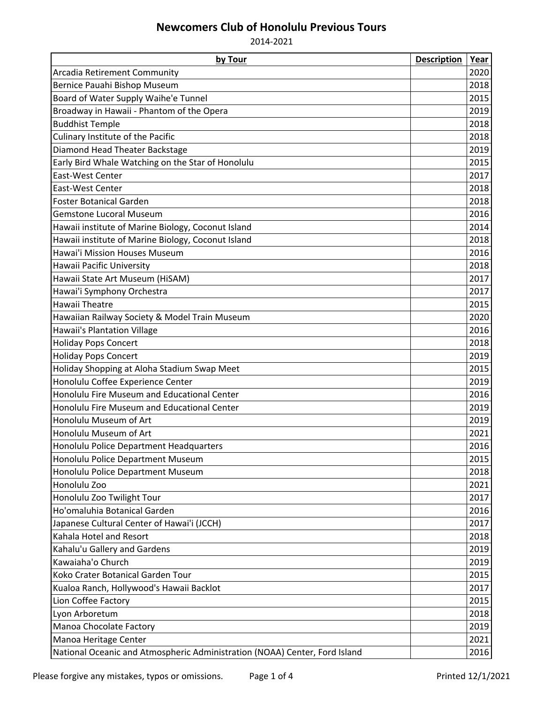## **Newcomers Club of Honolulu Previous Tours**

2014-2021

| by Tour                                                                    | <b>Description</b> | Year |
|----------------------------------------------------------------------------|--------------------|------|
| Arcadia Retirement Community                                               |                    | 2020 |
| Bernice Pauahi Bishop Museum                                               |                    | 2018 |
| Board of Water Supply Waihe'e Tunnel                                       |                    | 2015 |
| Broadway in Hawaii - Phantom of the Opera                                  |                    | 2019 |
| <b>Buddhist Temple</b>                                                     |                    | 2018 |
| Culinary Institute of the Pacific                                          |                    | 2018 |
| Diamond Head Theater Backstage                                             |                    | 2019 |
| Early Bird Whale Watching on the Star of Honolulu                          |                    | 2015 |
| East-West Center                                                           |                    | 2017 |
| East-West Center                                                           |                    | 2018 |
| <b>Foster Botanical Garden</b>                                             |                    | 2018 |
| <b>Gemstone Lucoral Museum</b>                                             |                    | 2016 |
| Hawaii institute of Marine Biology, Coconut Island                         |                    | 2014 |
| Hawaii institute of Marine Biology, Coconut Island                         |                    | 2018 |
| <b>Hawai'i Mission Houses Museum</b>                                       |                    | 2016 |
| Hawaii Pacific University                                                  |                    | 2018 |
| Hawaii State Art Museum (HiSAM)                                            |                    | 2017 |
| Hawai'i Symphony Orchestra                                                 |                    | 2017 |
| <b>Hawaii Theatre</b>                                                      |                    | 2015 |
| Hawaiian Railway Society & Model Train Museum                              |                    | 2020 |
| <b>Hawaii's Plantation Village</b>                                         |                    | 2016 |
| <b>Holiday Pops Concert</b>                                                |                    | 2018 |
| <b>Holiday Pops Concert</b>                                                |                    | 2019 |
| Holiday Shopping at Aloha Stadium Swap Meet                                |                    | 2015 |
| Honolulu Coffee Experience Center                                          |                    | 2019 |
| Honolulu Fire Museum and Educational Center                                |                    | 2016 |
| Honolulu Fire Museum and Educational Center                                |                    | 2019 |
| Honolulu Museum of Art                                                     |                    | 2019 |
| Honolulu Museum of Art                                                     |                    | 2021 |
| Honolulu Police Department Headquarters                                    |                    | 2016 |
| Honolulu Police Department Museum                                          |                    | 2015 |
| Honolulu Police Department Museum                                          |                    | 2018 |
| Honolulu Zoo                                                               |                    | 2021 |
| Honolulu Zoo Twilight Tour                                                 |                    | 2017 |
| Ho'omaluhia Botanical Garden                                               |                    | 2016 |
| Japanese Cultural Center of Hawai'i (JCCH)                                 |                    | 2017 |
| Kahala Hotel and Resort                                                    |                    | 2018 |
| Kahalu'u Gallery and Gardens                                               |                    | 2019 |
| Kawaiaha'o Church                                                          |                    | 2019 |
| Koko Crater Botanical Garden Tour                                          |                    | 2015 |
| Kualoa Ranch, Hollywood's Hawaii Backlot                                   |                    | 2017 |
| Lion Coffee Factory                                                        |                    | 2015 |
| Lyon Arboretum                                                             |                    | 2018 |
| Manoa Chocolate Factory                                                    |                    | 2019 |
| Manoa Heritage Center                                                      |                    | 2021 |
| National Oceanic and Atmospheric Administration (NOAA) Center, Ford Island |                    | 2016 |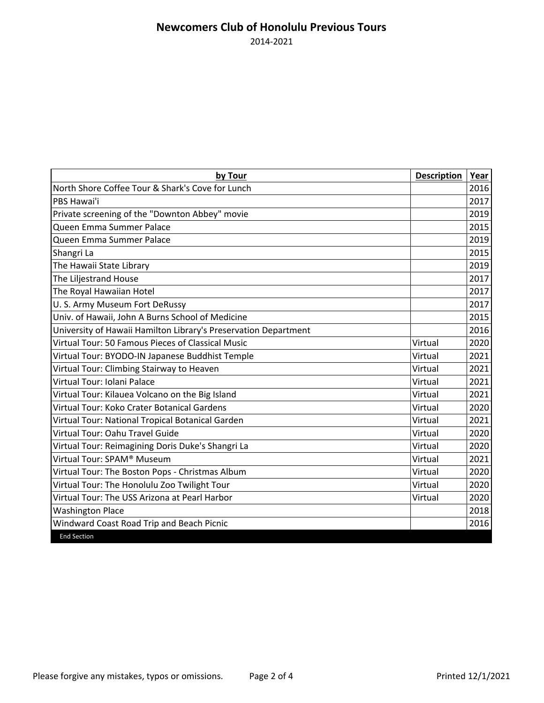## **Newcomers Club of Honolulu Previous Tours** 2014-2021

| by Tour                                                         | <b>Description</b> | Year |
|-----------------------------------------------------------------|--------------------|------|
| North Shore Coffee Tour & Shark's Cove for Lunch                |                    | 2016 |
| PBS Hawai'i                                                     |                    | 2017 |
| Private screening of the "Downton Abbey" movie                  |                    | 2019 |
| Queen Emma Summer Palace                                        |                    | 2015 |
| Queen Emma Summer Palace                                        |                    | 2019 |
| Shangri La                                                      |                    | 2015 |
| The Hawaii State Library                                        |                    | 2019 |
| The Liljestrand House                                           |                    | 2017 |
| The Royal Hawaiian Hotel                                        |                    | 2017 |
| U. S. Army Museum Fort DeRussy                                  |                    | 2017 |
| Univ. of Hawaii, John A Burns School of Medicine                |                    | 2015 |
| University of Hawaii Hamilton Library's Preservation Department |                    | 2016 |
| Virtual Tour: 50 Famous Pieces of Classical Music               | Virtual            | 2020 |
| Virtual Tour: BYODO-IN Japanese Buddhist Temple                 | Virtual            | 2021 |
| Virtual Tour: Climbing Stairway to Heaven                       | Virtual            | 2021 |
| Virtual Tour: Iolani Palace                                     | Virtual            | 2021 |
| Virtual Tour: Kilauea Volcano on the Big Island                 | Virtual            | 2021 |
| Virtual Tour: Koko Crater Botanical Gardens                     | Virtual            | 2020 |
| Virtual Tour: National Tropical Botanical Garden                | Virtual            | 2021 |
| Virtual Tour: Oahu Travel Guide                                 | Virtual            | 2020 |
| Virtual Tour: Reimagining Doris Duke's Shangri La               | Virtual            | 2020 |
| Virtual Tour: SPAM® Museum                                      | Virtual            | 2021 |
| Virtual Tour: The Boston Pops - Christmas Album                 | Virtual            | 2020 |
| Virtual Tour: The Honolulu Zoo Twilight Tour                    | Virtual            | 2020 |
| Virtual Tour: The USS Arizona at Pearl Harbor                   | Virtual            | 2020 |
| <b>Washington Place</b>                                         |                    | 2018 |
| Windward Coast Road Trip and Beach Picnic                       |                    | 2016 |
| <b>End Section</b>                                              |                    |      |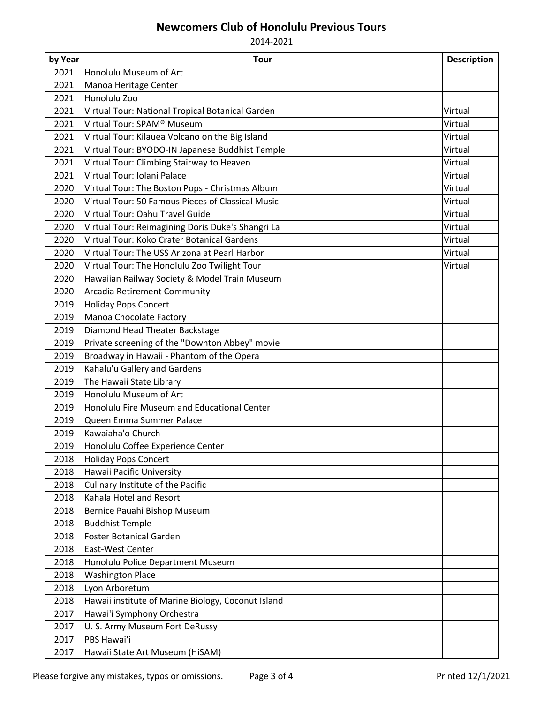## **Newcomers Club of Honolulu Previous Tours**

2014-2021

| by Year      | <b>Tour</b>                                                  | <b>Description</b> |
|--------------|--------------------------------------------------------------|--------------------|
| 2021         | Honolulu Museum of Art                                       |                    |
| 2021         | Manoa Heritage Center                                        |                    |
| 2021         | Honolulu Zoo                                                 |                    |
| 2021         | Virtual Tour: National Tropical Botanical Garden             | Virtual            |
| 2021         | Virtual Tour: SPAM® Museum                                   | Virtual            |
| 2021         | Virtual Tour: Kilauea Volcano on the Big Island              | Virtual            |
| 2021         | Virtual Tour: BYODO-IN Japanese Buddhist Temple              | Virtual            |
| 2021         | Virtual Tour: Climbing Stairway to Heaven                    | Virtual            |
| 2021         | Virtual Tour: Iolani Palace                                  | Virtual            |
| 2020         | Virtual Tour: The Boston Pops - Christmas Album              | Virtual            |
| 2020         | Virtual Tour: 50 Famous Pieces of Classical Music            | Virtual            |
| 2020         | Virtual Tour: Oahu Travel Guide                              | Virtual            |
| 2020         | Virtual Tour: Reimagining Doris Duke's Shangri La            | Virtual            |
| 2020         | Virtual Tour: Koko Crater Botanical Gardens                  | Virtual            |
| 2020         | Virtual Tour: The USS Arizona at Pearl Harbor                | Virtual            |
| 2020         | Virtual Tour: The Honolulu Zoo Twilight Tour                 | Virtual            |
| 2020         | Hawaiian Railway Society & Model Train Museum                |                    |
| 2020         | <b>Arcadia Retirement Community</b>                          |                    |
| 2019         | <b>Holiday Pops Concert</b>                                  |                    |
| 2019         | Manoa Chocolate Factory                                      |                    |
| 2019         | Diamond Head Theater Backstage                               |                    |
| 2019         | Private screening of the "Downton Abbey" movie               |                    |
| 2019         | Broadway in Hawaii - Phantom of the Opera                    |                    |
| 2019         | Kahalu'u Gallery and Gardens                                 |                    |
| 2019         | The Hawaii State Library                                     |                    |
| 2019         | Honolulu Museum of Art                                       |                    |
| 2019         | Honolulu Fire Museum and Educational Center                  |                    |
| 2019         | Queen Emma Summer Palace                                     |                    |
| 2019         | Kawaiaha'o Church                                            |                    |
| 2019         | Honolulu Coffee Experience Center                            |                    |
| 2018         | <b>Holiday Pops Concert</b>                                  |                    |
| 2018         | Hawaii Pacific University                                    |                    |
| 2018         | Culinary Institute of the Pacific<br>Kahala Hotel and Resort |                    |
| 2018         |                                                              |                    |
| 2018<br>2018 | Bernice Pauahi Bishop Museum                                 |                    |
| 2018         | <b>Buddhist Temple</b><br><b>Foster Botanical Garden</b>     |                    |
| 2018         | East-West Center                                             |                    |
| 2018         | Honolulu Police Department Museum                            |                    |
| 2018         | <b>Washington Place</b>                                      |                    |
| 2018         | Lyon Arboretum                                               |                    |
| 2018         | Hawaii institute of Marine Biology, Coconut Island           |                    |
| 2017         | Hawai'i Symphony Orchestra                                   |                    |
| 2017         | U. S. Army Museum Fort DeRussy                               |                    |
| 2017         | PBS Hawai'i                                                  |                    |
| 2017         | Hawaii State Art Museum (HiSAM)                              |                    |
|              |                                                              |                    |